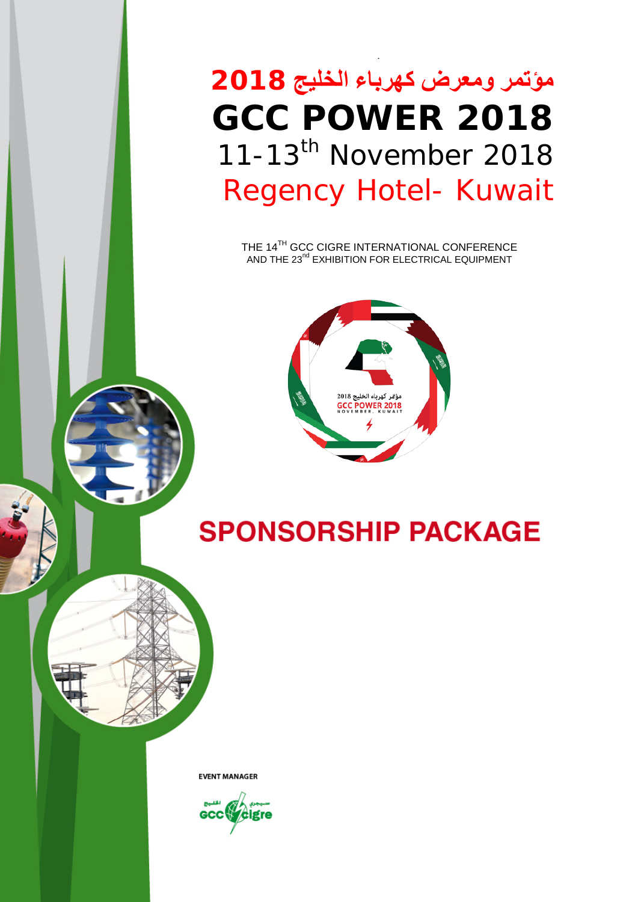**مؤتمر ومعرض كهرباء الخليج 2018 GCC POWER 2018** 11-13<sup>th</sup> November 2018 Regency Hotel- Kuwait

THE 14 $^{\rm TH}$  GCC CIGRE INTERNATIONAL CONFERENCE AND THE 23 $^{\text{nd}}$  EXHIBITION FOR ELECTRICAL EQUIPMENT



**SPONSORSHIP PACKAGE** 

**EVENT MANAGER** 

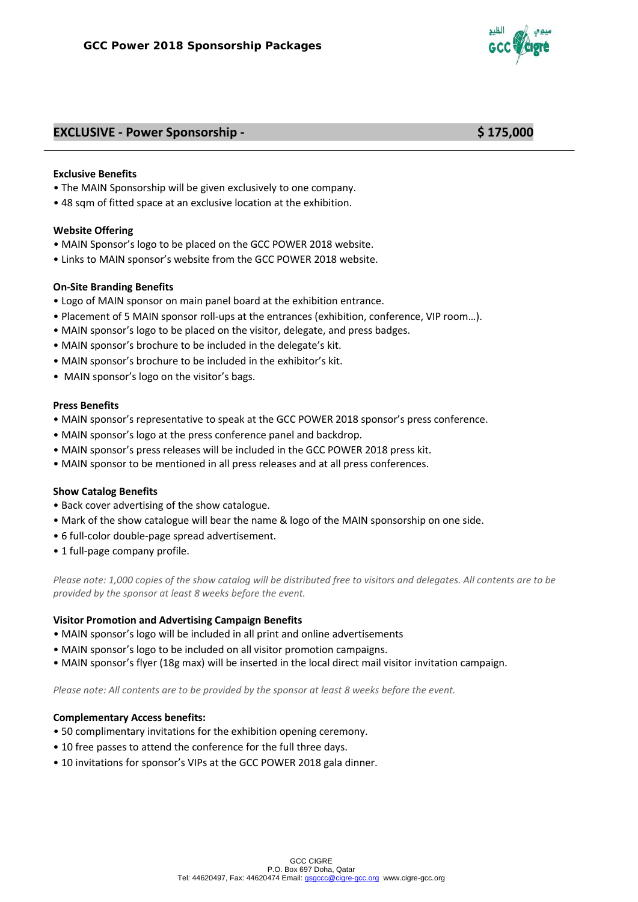

## **EXCLUSIVE - Power Sponsorship - \$ 175,000**

#### **Exclusive Benefits**

- The MAIN Sponsorship will be given exclusively to one company.
- 48 sqm of fitted space at an exclusive location at the exhibition.

#### **Website Offering**

- MAIN Sponsor's logo to be placed on the GCC POWER 2018 website.
- Links to MAIN sponsor's website from the GCC POWER 2018 website.

#### **On-Site Branding Benefits**

- Logo of MAIN sponsor on main panel board at the exhibition entrance.
- Placement of 5 MAIN sponsor roll-ups at the entrances (exhibition, conference, VIP room…).
- MAIN sponsor's logo to be placed on the visitor, delegate, and press badges.
- MAIN sponsor's brochure to be included in the delegate's kit.
- MAIN sponsor's brochure to be included in the exhibitor's kit.
- MAIN sponsor's logo on the visitor's bags.

#### **Press Benefits**

- MAIN sponsor's representative to speak at the GCC POWER 2018 sponsor's press conference.
- MAIN sponsor's logo at the press conference panel and backdrop.
- MAIN sponsor's press releases will be included in the GCC POWER 2018 press kit.
- MAIN sponsor to be mentioned in all press releases and at all press conferences.

#### **Show Catalog Benefits**

- Back cover advertising of the show catalogue.
- Mark of the show catalogue will bear the name & logo of the MAIN sponsorship on one side.
- 6 full-color double-page spread advertisement.
- 1 full-page company profile.

*Please note: 1,000 copies of the show catalog will be distributed free to visitors and delegates. All contents are to be provided by the sponsor at least 8 weeks before the event.*

#### **Visitor Promotion and Advertising Campaign Benefits**

- MAIN sponsor's logo will be included in all print and online advertisements
- MAIN sponsor's logo to be included on all visitor promotion campaigns.
- MAIN sponsor's flyer (18g max) will be inserted in the local direct mail visitor invitation campaign.

*Please note: All contents are to be provided by the sponsor at least 8 weeks before the event.*

- 50 complimentary invitations for the exhibition opening ceremony.
- 10 free passes to attend the conference for the full three days.
- 10 invitations for sponsor's VIPs at the GCC POWER 2018 gala dinner.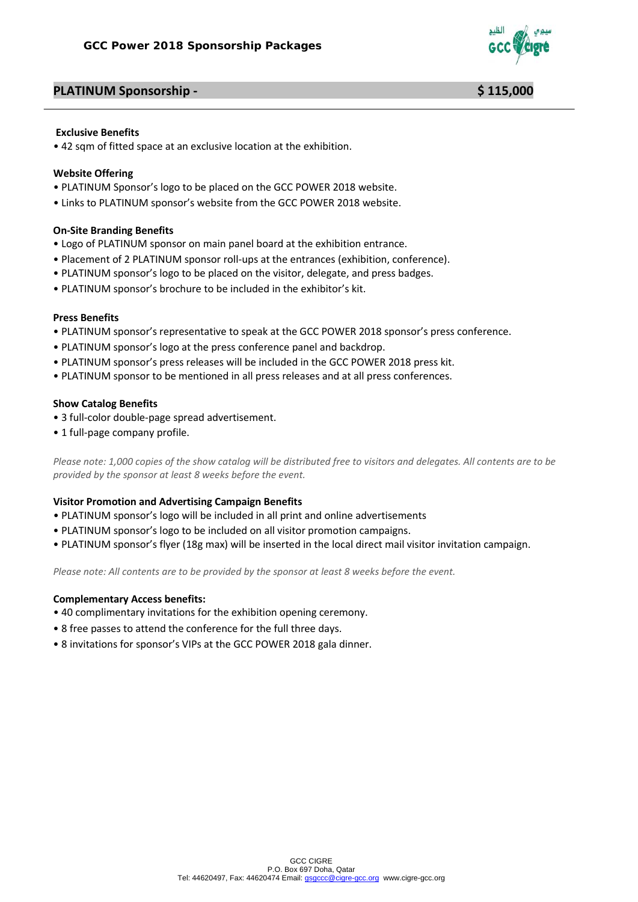

# **PLATINUM Sponsorship - \$ 115,000**

#### **Exclusive Benefits**

• 42 sqm of fitted space at an exclusive location at the exhibition.

## **Website Offering**

- PLATINUM Sponsor's logo to be placed on the GCC POWER 2018 website.
- Links to PLATINUM sponsor's website from the GCC POWER 2018 website.

## **On-Site Branding Benefits**

- Logo of PLATINUM sponsor on main panel board at the exhibition entrance.
- Placement of 2 PLATINUM sponsor roll-ups at the entrances (exhibition, conference).
- PLATINUM sponsor's logo to be placed on the visitor, delegate, and press badges.
- PLATINUM sponsor's brochure to be included in the exhibitor's kit.

## **Press Benefits**

- PLATINUM sponsor's representative to speak at the GCC POWER 2018 sponsor's press conference.
- PLATINUM sponsor's logo at the press conference panel and backdrop.
- PLATINUM sponsor's press releases will be included in the GCC POWER 2018 press kit.
- PLATINUM sponsor to be mentioned in all press releases and at all press conferences.

## **Show Catalog Benefits**

- 3 full-color double-page spread advertisement.
- 1 full-page company profile.

*Please note: 1,000 copies of the show catalog will be distributed free to visitors and delegates. All contents are to be provided by the sponsor at least 8 weeks before the event.*

## **Visitor Promotion and Advertising Campaign Benefits**

- PLATINUM sponsor's logo will be included in all print and online advertisements
- PLATINUM sponsor's logo to be included on all visitor promotion campaigns.
- PLATINUM sponsor's flyer (18g max) will be inserted in the local direct mail visitor invitation campaign.

*Please note: All contents are to be provided by the sponsor at least 8 weeks before the event.*

- 40 complimentary invitations for the exhibition opening ceremony.
- 8 free passes to attend the conference for the full three days.
- 8 invitations for sponsor's VIPs at the GCC POWER 2018 gala dinner.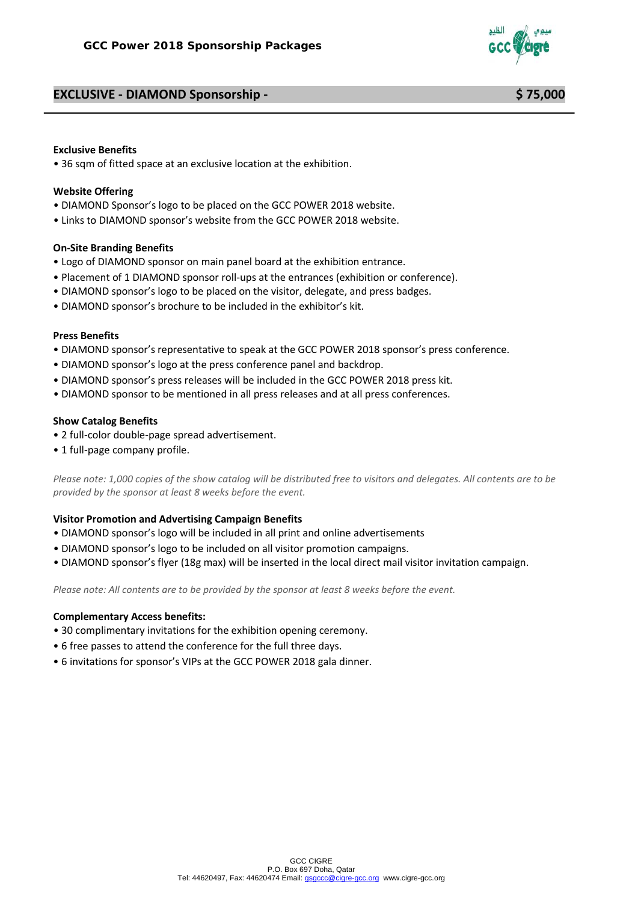# **EXCLUSIVE - DIAMOND Sponsorship - \$ 75,000**



# **Exclusive Benefits**

• 36 sqm of fitted space at an exclusive location at the exhibition.

#### **Website Offering**

- DIAMOND Sponsor's logo to be placed on the GCC POWER 2018 website.
- Links to DIAMOND sponsor's website from the GCC POWER 2018 website.

## **On-Site Branding Benefits**

- Logo of DIAMOND sponsor on main panel board at the exhibition entrance.
- Placement of 1 DIAMOND sponsor roll-ups at the entrances (exhibition or conference).
- DIAMOND sponsor's logo to be placed on the visitor, delegate, and press badges.
- DIAMOND sponsor's brochure to be included in the exhibitor's kit.

#### **Press Benefits**

- DIAMOND sponsor's representative to speak at the GCC POWER 2018 sponsor's press conference.
- DIAMOND sponsor's logo at the press conference panel and backdrop.
- DIAMOND sponsor's press releases will be included in the GCC POWER 2018 press kit.
- DIAMOND sponsor to be mentioned in all press releases and at all press conferences.

## **Show Catalog Benefits**

- 2 full-color double-page spread advertisement.
- 1 full-page company profile.

*Please note: 1,000 copies of the show catalog will be distributed free to visitors and delegates. All contents are to be provided by the sponsor at least 8 weeks before the event.*

#### **Visitor Promotion and Advertising Campaign Benefits**

- DIAMOND sponsor's logo will be included in all print and online advertisements
- DIAMOND sponsor's logo to be included on all visitor promotion campaigns.
- DIAMOND sponsor's flyer (18g max) will be inserted in the local direct mail visitor invitation campaign.

*Please note: All contents are to be provided by the sponsor at least 8 weeks before the event.*

- 30 complimentary invitations for the exhibition opening ceremony.
- 6 free passes to attend the conference for the full three days.
- 6 invitations for sponsor's VIPs at the GCC POWER 2018 gala dinner.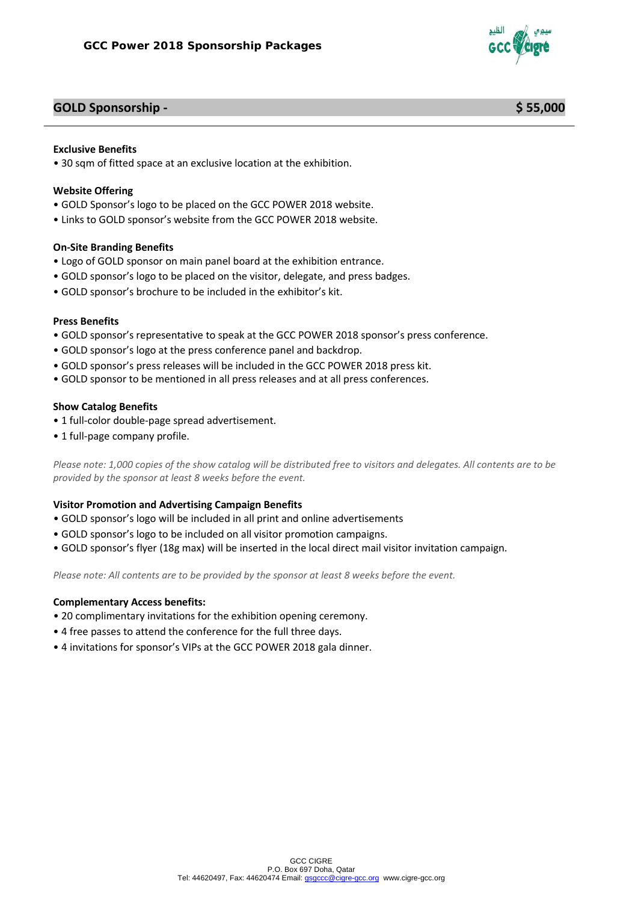

# **GOLD Sponsorship - \$ 55,000**

# **Exclusive Benefits**

• 30 sqm of fitted space at an exclusive location at the exhibition.

#### **Website Offering**

- GOLD Sponsor's logo to be placed on the GCC POWER 2018 website.
- Links to GOLD sponsor's website from the GCC POWER 2018 website.

## **On-Site Branding Benefits**

- Logo of GOLD sponsor on main panel board at the exhibition entrance.
- GOLD sponsor's logo to be placed on the visitor, delegate, and press badges.
- GOLD sponsor's brochure to be included in the exhibitor's kit.

#### **Press Benefits**

- GOLD sponsor's representative to speak at the GCC POWER 2018 sponsor's press conference.
- GOLD sponsor's logo at the press conference panel and backdrop.
- GOLD sponsor's press releases will be included in the GCC POWER 2018 press kit.
- GOLD sponsor to be mentioned in all press releases and at all press conferences.

#### **Show Catalog Benefits**

- 1 full-color double-page spread advertisement.
- 1 full-page company profile.

*Please note: 1,000 copies of the show catalog will be distributed free to visitors and delegates. All contents are to be provided by the sponsor at least 8 weeks before the event.*

#### **Visitor Promotion and Advertising Campaign Benefits**

- GOLD sponsor's logo will be included in all print and online advertisements
- GOLD sponsor's logo to be included on all visitor promotion campaigns.
- GOLD sponsor's flyer (18g max) will be inserted in the local direct mail visitor invitation campaign.

*Please note: All contents are to be provided by the sponsor at least 8 weeks before the event.*

- 20 complimentary invitations for the exhibition opening ceremony.
- 4 free passes to attend the conference for the full three days.
- 4 invitations for sponsor's VIPs at the GCC POWER 2018 gala dinner.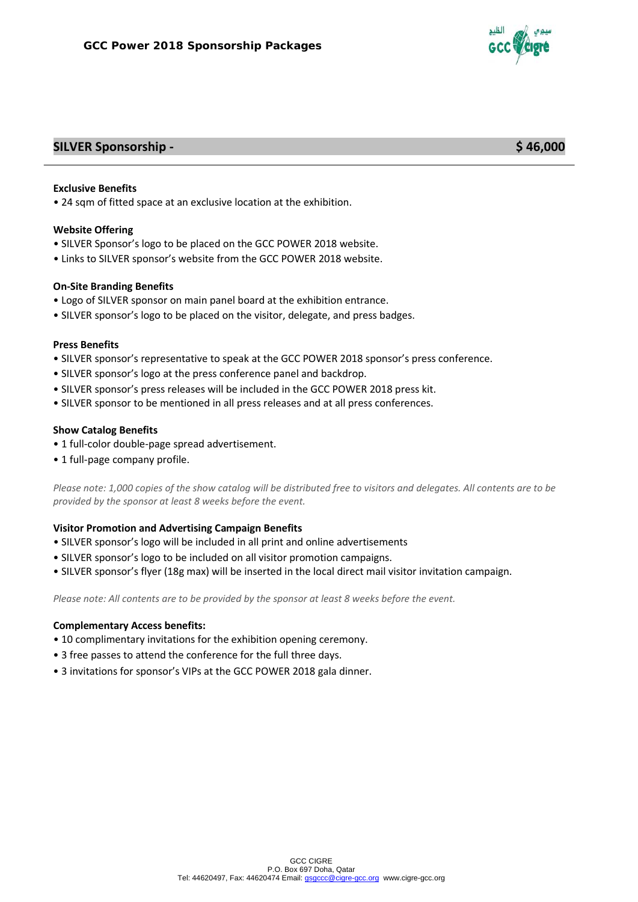

# **SILVER Sponsorship - \$ 46,000**

## **Exclusive Benefits**

• 24 sqm of fitted space at an exclusive location at the exhibition.

## **Website Offering**

- SILVER Sponsor's logo to be placed on the GCC POWER 2018 website.
- Links to SILVER sponsor's website from the GCC POWER 2018 website.

#### **On-Site Branding Benefits**

- Logo of SILVER sponsor on main panel board at the exhibition entrance.
- SILVER sponsor's logo to be placed on the visitor, delegate, and press badges.

#### **Press Benefits**

- SILVER sponsor's representative to speak at the GCC POWER 2018 sponsor's press conference.
- SILVER sponsor's logo at the press conference panel and backdrop.
- SILVER sponsor's press releases will be included in the GCC POWER 2018 press kit.
- SILVER sponsor to be mentioned in all press releases and at all press conferences.

## **Show Catalog Benefits**

- 1 full-color double-page spread advertisement.
- 1 full-page company profile.

*Please note: 1,000 copies of the show catalog will be distributed free to visitors and delegates. All contents are to be provided by the sponsor at least 8 weeks before the event.*

## **Visitor Promotion and Advertising Campaign Benefits**

- SILVER sponsor's logo will be included in all print and online advertisements
- SILVER sponsor's logo to be included on all visitor promotion campaigns.
- SILVER sponsor's flyer (18g max) will be inserted in the local direct mail visitor invitation campaign.

*Please note: All contents are to be provided by the sponsor at least 8 weeks before the event.*

- 10 complimentary invitations for the exhibition opening ceremony.
- 3 free passes to attend the conference for the full three days.
- 3 invitations for sponsor's VIPs at the GCC POWER 2018 gala dinner.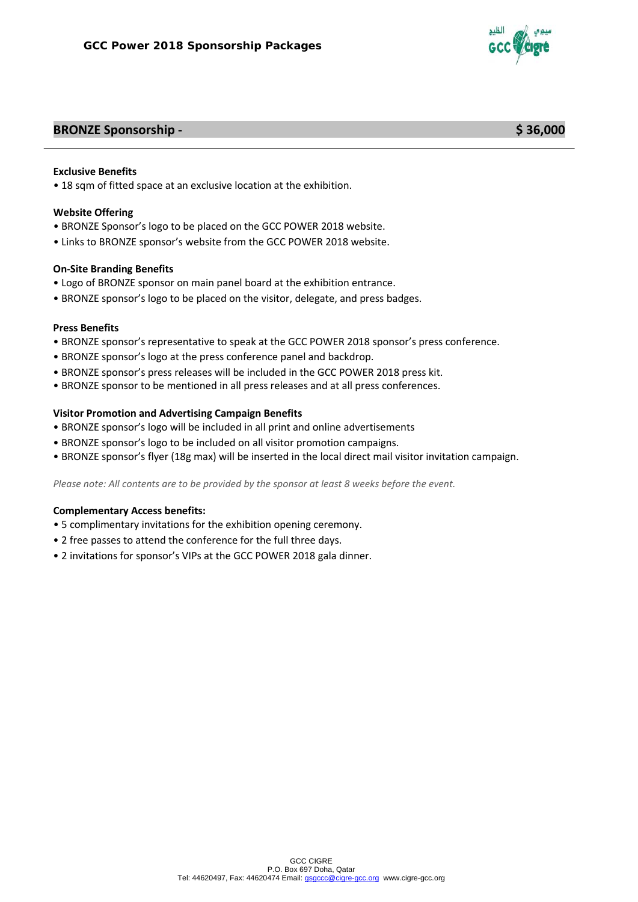

# **BRONZE Sponsorship - \$ 36,000**

#### **Exclusive Benefits**

• 18 sqm of fitted space at an exclusive location at the exhibition.

#### **Website Offering**

- BRONZE Sponsor's logo to be placed on the GCC POWER 2018 website.
- Links to BRONZE sponsor's website from the GCC POWER 2018 website.

## **On-Site Branding Benefits**

- Logo of BRONZE sponsor on main panel board at the exhibition entrance.
- BRONZE sponsor's logo to be placed on the visitor, delegate, and press badges.

#### **Press Benefits**

- BRONZE sponsor's representative to speak at the GCC POWER 2018 sponsor's press conference.
- BRONZE sponsor's logo at the press conference panel and backdrop.
- BRONZE sponsor's press releases will be included in the GCC POWER 2018 press kit.
- BRONZE sponsor to be mentioned in all press releases and at all press conferences.

## **Visitor Promotion and Advertising Campaign Benefits**

- BRONZE sponsor's logo will be included in all print and online advertisements
- BRONZE sponsor's logo to be included on all visitor promotion campaigns.
- BRONZE sponsor's flyer (18g max) will be inserted in the local direct mail visitor invitation campaign.

*Please note: All contents are to be provided by the sponsor at least 8 weeks before the event.*

- 5 complimentary invitations for the exhibition opening ceremony.
- 2 free passes to attend the conference for the full three days.
- 2 invitations for sponsor's VIPs at the GCC POWER 2018 gala dinner.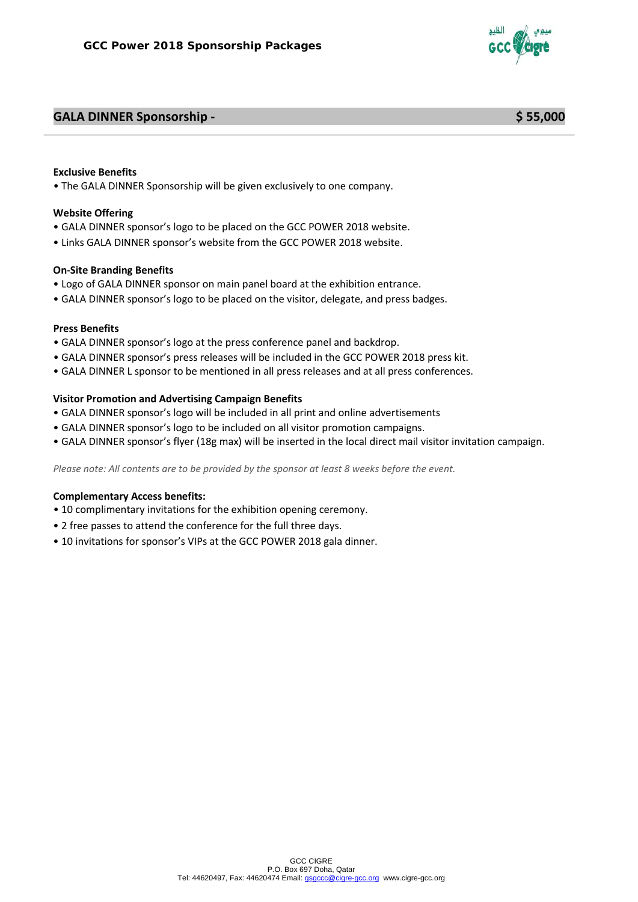# **GALA DINNER Sponsorship - \$ 55,000**

## **Exclusive Benefits**

• The GALA DINNER Sponsorship will be given exclusively to one company.

## **Website Offering**

- GALA DINNER sponsor's logo to be placed on the GCC POWER 2018 website.
- Links GALA DINNER sponsor's website from the GCC POWER 2018 website.

## **On-Site Branding Benefits**

- Logo of GALA DINNER sponsor on main panel board at the exhibition entrance.
- GALA DINNER sponsor's logo to be placed on the visitor, delegate, and press badges.

## **Press Benefits**

- GALA DINNER sponsor's logo at the press conference panel and backdrop.
- GALA DINNER sponsor's press releases will be included in the GCC POWER 2018 press kit.
- GALA DINNER L sponsor to be mentioned in all press releases and at all press conferences.

## **Visitor Promotion and Advertising Campaign Benefits**

- GALA DINNER sponsor's logo will be included in all print and online advertisements
- GALA DINNER sponsor's logo to be included on all visitor promotion campaigns.
- GALA DINNER sponsor's flyer (18g max) will be inserted in the local direct mail visitor invitation campaign.

*Please note: All contents are to be provided by the sponsor at least 8 weeks before the event.*

- 10 complimentary invitations for the exhibition opening ceremony.
- 2 free passes to attend the conference for the full three days.
- 10 invitations for sponsor's VIPs at the GCC POWER 2018 gala dinner.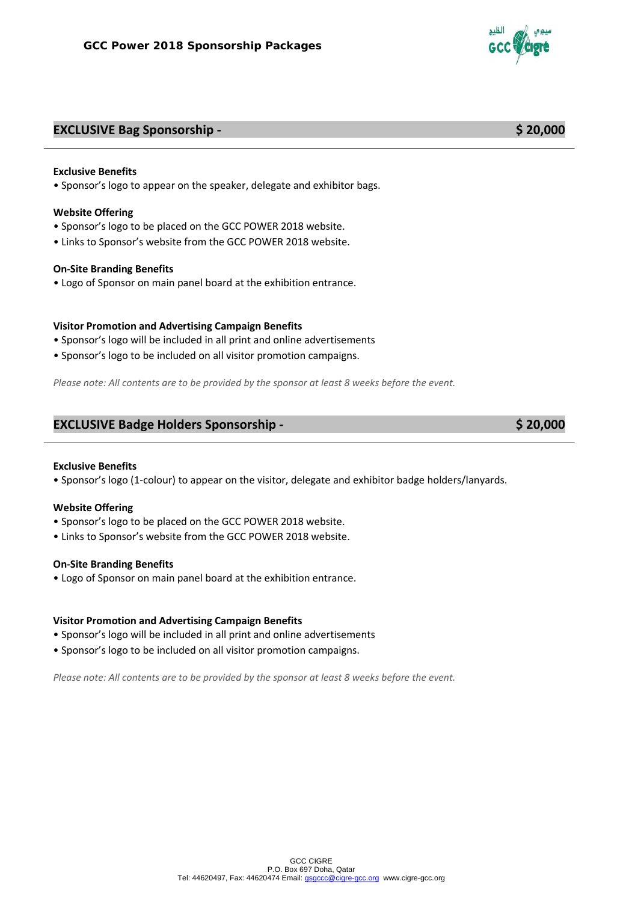# **EXCLUSIVE Bag Sponsorship - \$ 20,000**

#### **Exclusive Benefits**

• Sponsor's logo to appear on the speaker, delegate and exhibitor bags.

#### **Website Offering**

- Sponsor's logo to be placed on the GCC POWER 2018 website.
- Links to Sponsor's website from the GCC POWER 2018 website.

#### **On-Site Branding Benefits**

• Logo of Sponsor on main panel board at the exhibition entrance.

# **Visitor Promotion and Advertising Campaign Benefits**

- Sponsor's logo will be included in all print and online advertisements
- Sponsor's logo to be included on all visitor promotion campaigns.

*Please note: All contents are to be provided by the sponsor at least 8 weeks before the event.*

## **EXCLUSIVE Badge Holders Sponsorship - \$ 20,000**

#### **Exclusive Benefits**

• Sponsor's logo (1-colour) to appear on the visitor, delegate and exhibitor badge holders/lanyards.

#### **Website Offering**

- Sponsor's logo to be placed on the GCC POWER 2018 website.
- Links to Sponsor's website from the GCC POWER 2018 website.

#### **On-Site Branding Benefits**

• Logo of Sponsor on main panel board at the exhibition entrance.

#### **Visitor Promotion and Advertising Campaign Benefits**

- Sponsor's logo will be included in all print and online advertisements
- Sponsor's logo to be included on all visitor promotion campaigns.

*Please note: All contents are to be provided by the sponsor at least 8 weeks before the event.*

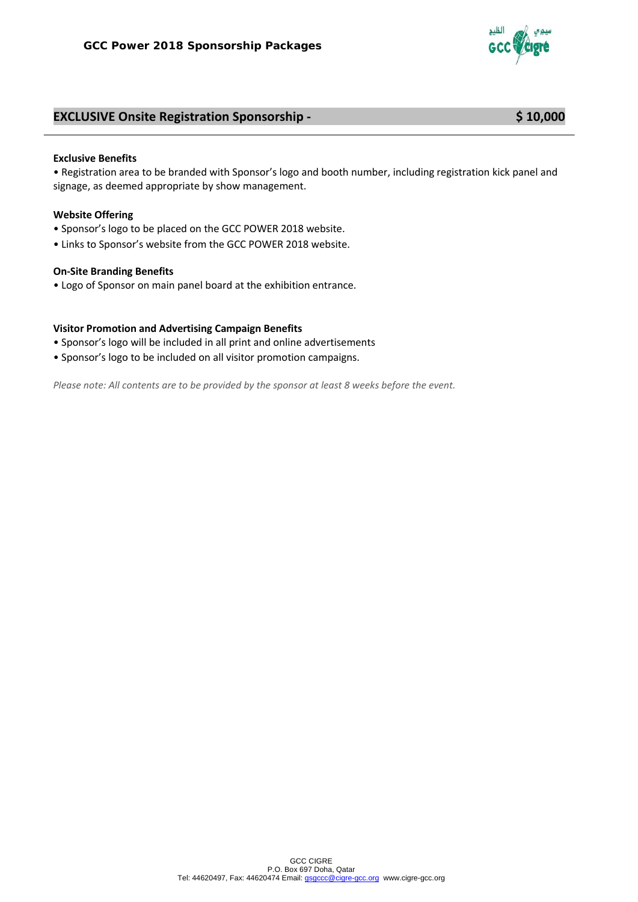

# **EXCLUSIVE Onsite Registration Sponsorship - \$ 10,000**

#### **Exclusive Benefits**

• Registration area to be branded with Sponsor's logo and booth number, including registration kick panel and signage, as deemed appropriate by show management.

#### **Website Offering**

- Sponsor's logo to be placed on the GCC POWER 2018 website.
- Links to Sponsor's website from the GCC POWER 2018 website.

#### **On-Site Branding Benefits**

• Logo of Sponsor on main panel board at the exhibition entrance.

#### **Visitor Promotion and Advertising Campaign Benefits**

- Sponsor's logo will be included in all print and online advertisements
- Sponsor's logo to be included on all visitor promotion campaigns.

*Please note: All contents are to be provided by the sponsor at least 8 weeks before the event.*